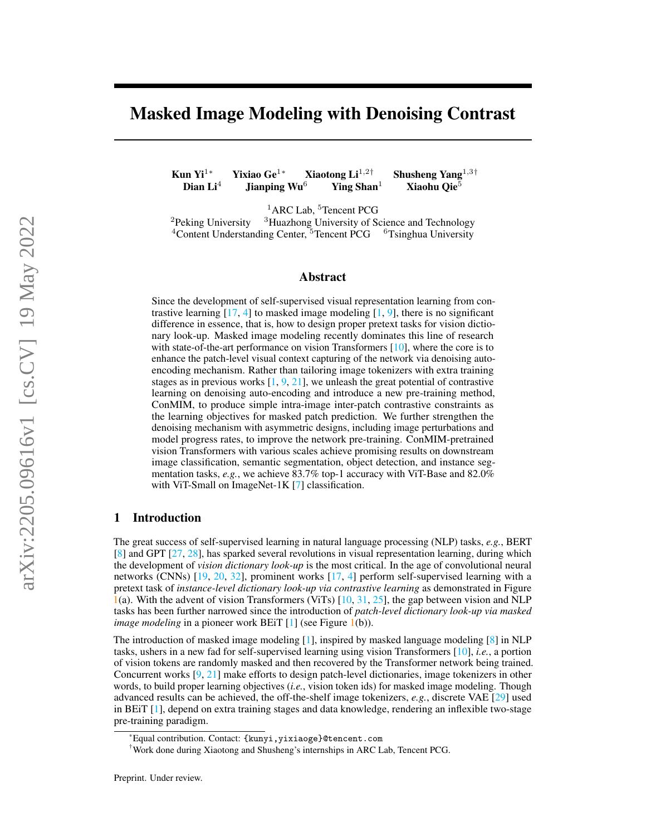# Masked Image Modeling with Denoising Contrast

Kun Yi<sup>1∗</sup> Yixiao Ge<sup>1</sup>\* Xiaotong Li<sup>1,2†</sup> Shusheng Yang<sup>1,3†</sup> Dian Li<sup>4</sup> Jianping Wu<sup>6</sup> Ying Shan<sup>1</sup> Xiaohu Oie<sup>5</sup> Jianping Wu<sup>6</sup> Ying Shan<sup>1</sup> Xiaohu Qie<sup>5</sup>

<sup>1</sup>ARC Lab, <sup>5</sup>Tencent PCG <sup>2</sup>Peking University <sup>3</sup>Huazhong University of Science and Technology  $4$ Content Understanding Center,  $5$ Tencent PCG  $6$ <sup>6</sup>Tsinghua University

## Abstract

Since the development of self-supervised visual representation learning from contrastive learning  $[17, 4]$  $[17, 4]$  $[17, 4]$  to masked image modeling  $[1, 9]$  $[1, 9]$  $[1, 9]$ , there is no significant difference in essence, that is, how to design proper pretext tasks for vision dictionary look-up. Masked image modeling recently dominates this line of research with state-of-the-art performance on vision Transformers  $[10]$ , where the core is to enhance the patch-level visual context capturing of the network via denoising autoencoding mechanism. Rather than tailoring image tokenizers with extra training stages as in previous works [\[1,](#page-9-1) [9,](#page-9-2) [21\]](#page-10-1), we unleash the great potential of contrastive learning on denoising auto-encoding and introduce a new pre-training method, ConMIM, to produce simple intra-image inter-patch contrastive constraints as the learning objectives for masked patch prediction. We further strengthen the denoising mechanism with asymmetric designs, including image perturbations and model progress rates, to improve the network pre-training. ConMIM-pretrained vision Transformers with various scales achieve promising results on downstream image classification, semantic segmentation, object detection, and instance segmentation tasks, *e.g.*, we achieve 83.7% top-1 accuracy with ViT-Base and 82.0% with ViT-Small on ImageNet-1K [\[7\]](#page-9-4) classification.

## 1 Introduction

The great success of self-supervised learning in natural language processing (NLP) tasks, *e.g.*, BERT [\[8\]](#page-9-5) and GPT [\[27,](#page-10-2) [28\]](#page-10-3), has sparked several revolutions in visual representation learning, during which the development of *vision dictionary look-up* is the most critical. In the age of convolutional neural networks (CNNs) [\[19,](#page-10-4) [20,](#page-10-5) [32\]](#page-10-6), prominent works [\[17,](#page-10-0) [4\]](#page-9-0) perform self-supervised learning with a pretext task of *instance-level dictionary look-up via contrastive learning* as demonstrated in Figure  $1(a)$  $1(a)$ . With the advent of vision Transformers (ViTs)  $[10, 31, 25]$  $[10, 31, 25]$  $[10, 31, 25]$  $[10, 31, 25]$  $[10, 31, 25]$ , the gap between vision and NLP tasks has been further narrowed since the introduction of *patch-level dictionary look-up via masked image modeling* in a pioneer work BEiT [\[1\]](#page-9-1) (see Figure [1\(](#page-1-0)b)).

The introduction of masked image modeling [\[1\]](#page-9-1), inspired by masked language modeling [\[8\]](#page-9-5) in NLP tasks, ushers in a new fad for self-supervised learning using vision Transformers [\[10\]](#page-9-3), *i.e.*, a portion of vision tokens are randomly masked and then recovered by the Transformer network being trained. Concurrent works [\[9,](#page-9-2) [21\]](#page-10-1) make efforts to design patch-level dictionaries, image tokenizers in other words, to build proper learning objectives (*i.e.*, vision token ids) for masked image modeling. Though advanced results can be achieved, the off-the-shelf image tokenizers, *e.g.*, discrete VAE [\[29\]](#page-10-9) used in BEiT [\[1\]](#page-9-1), depend on extra training stages and data knowledge, rendering an inflexible two-stage pre-training paradigm.

<sup>\*</sup>Equal contribution. Contact: {kunyi,yixiaoge}@tencent.com

<sup>†</sup>Work done during Xiaotong and Shusheng's internships in ARC Lab, Tencent PCG.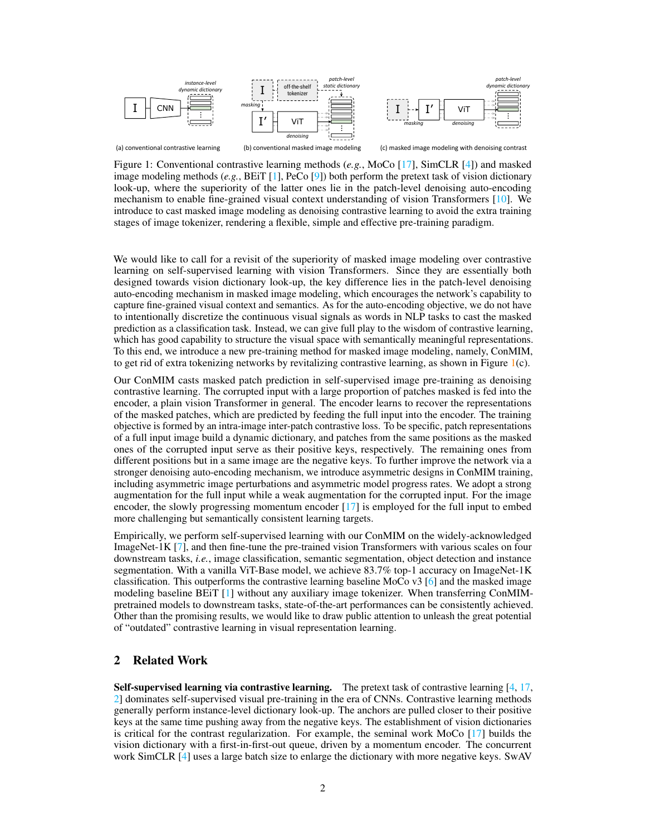

<span id="page-1-0"></span>Figure 1: Conventional contrastive learning methods (*e.g.*, MoCo [\[17\]](#page-10-0), SimCLR [\[4\]](#page-9-0)) and masked image modeling methods (*e.g.*, BEiT [\[1\]](#page-9-1), PeCo [\[9\]](#page-9-2)) both perform the pretext task of vision dictionary look-up, where the superiority of the latter ones lie in the patch-level denoising auto-encoding mechanism to enable fine-grained visual context understanding of vision Transformers [\[10\]](#page-9-3). We introduce to cast masked image modeling as denoising contrastive learning to avoid the extra training stages of image tokenizer, rendering a flexible, simple and effective pre-training paradigm.

We would like to call for a revisit of the superiority of masked image modeling over contrastive learning on self-supervised learning with vision Transformers. Since they are essentially both designed towards vision dictionary look-up, the key difference lies in the patch-level denoising auto-encoding mechanism in masked image modeling, which encourages the network's capability to capture fine-grained visual context and semantics. As for the auto-encoding objective, we do not have to intentionally discretize the continuous visual signals as words in NLP tasks to cast the masked prediction as a classification task. Instead, we can give full play to the wisdom of contrastive learning, which has good capability to structure the visual space with semantically meaningful representations. To this end, we introduce a new pre-training method for masked image modeling, namely, ConMIM, to get rid of extra tokenizing networks by revitalizing contrastive learning, as shown in Figure  $1(c)$  $1(c)$ .

Our ConMIM casts masked patch prediction in self-supervised image pre-training as denoising contrastive learning. The corrupted input with a large proportion of patches masked is fed into the encoder, a plain vision Transformer in general. The encoder learns to recover the representations of the masked patches, which are predicted by feeding the full input into the encoder. The training objective is formed by an intra-image inter-patch contrastive loss. To be specific, patch representations of a full input image build a dynamic dictionary, and patches from the same positions as the masked ones of the corrupted input serve as their positive keys, respectively. The remaining ones from different positions but in a same image are the negative keys. To further improve the network via a stronger denoising auto-encoding mechanism, we introduce asymmetric designs in ConMIM training, including asymmetric image perturbations and asymmetric model progress rates. We adopt a strong augmentation for the full input while a weak augmentation for the corrupted input. For the image encoder, the slowly progressing momentum encoder [\[17\]](#page-10-0) is employed for the full input to embed more challenging but semantically consistent learning targets.

Empirically, we perform self-supervised learning with our ConMIM on the widely-acknowledged ImageNet-1K [\[7\]](#page-9-4), and then fine-tune the pre-trained vision Transformers with various scales on four downstream tasks, *i.e.*, image classification, semantic segmentation, object detection and instance segmentation. With a vanilla ViT-Base model, we achieve 83.7% top-1 accuracy on ImageNet-1K classification. This outperforms the contrastive learning baseline MoCo  $\sqrt{3}$  [\[6\]](#page-9-6) and the masked image modeling baseline BEiT [\[1\]](#page-9-1) without any auxiliary image tokenizer. When transferring ConMIMpretrained models to downstream tasks, state-of-the-art performances can be consistently achieved. Other than the promising results, we would like to draw public attention to unleash the great potential of "outdated" contrastive learning in visual representation learning.

# 2 Related Work

**Self-supervised learning via contrastive learning.** The pretext task of contrastive learning  $[4, 17, 16]$  $[4, 17, 16]$  $[4, 17, 16]$  $[4, 17, 16]$ [2\]](#page-9-7) dominates self-supervised visual pre-training in the era of CNNs. Contrastive learning methods generally perform instance-level dictionary look-up. The anchors are pulled closer to their positive keys at the same time pushing away from the negative keys. The establishment of vision dictionaries is critical for the contrast regularization. For example, the seminal work MoCo [\[17\]](#page-10-0) builds the vision dictionary with a first-in-first-out queue, driven by a momentum encoder. The concurrent work SimCLR [\[4\]](#page-9-0) uses a large batch size to enlarge the dictionary with more negative keys. SwAV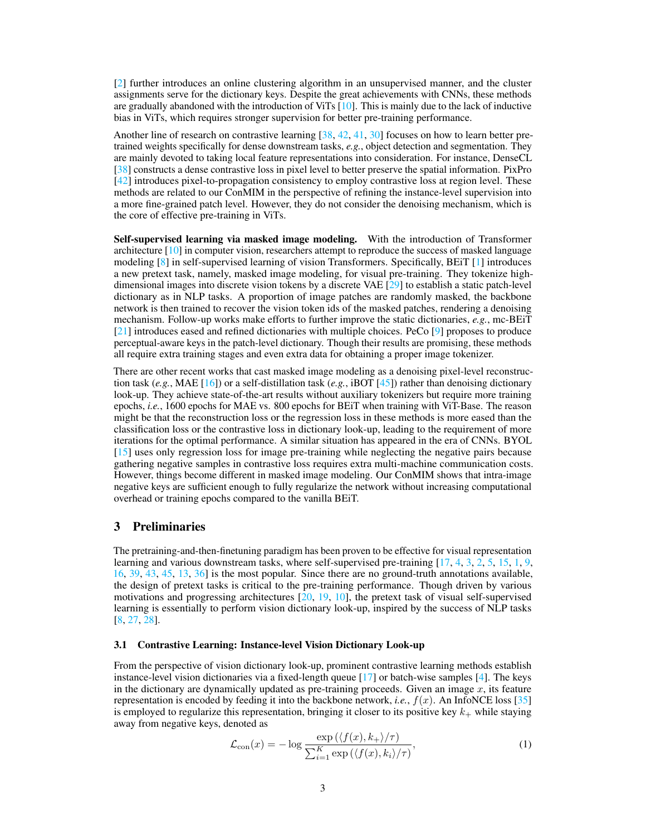[\[2\]](#page-9-7) further introduces an online clustering algorithm in an unsupervised manner, and the cluster assignments serve for the dictionary keys. Despite the great achievements with CNNs, these methods are gradually abandoned with the introduction of ViTs  $[10]$ . This is mainly due to the lack of inductive bias in ViTs, which requires stronger supervision for better pre-training performance.

Another line of research on contrastive learning [\[38,](#page-11-0) [42,](#page-11-1) [41,](#page-11-2) [30\]](#page-10-10) focuses on how to learn better pretrained weights specifically for dense downstream tasks, *e.g.*, object detection and segmentation. They are mainly devoted to taking local feature representations into consideration. For instance, DenseCL [\[38\]](#page-11-0) constructs a dense contrastive loss in pixel level to better preserve the spatial information. PixPro [\[42\]](#page-11-1) introduces pixel-to-propagation consistency to employ contrastive loss at region level. These methods are related to our ConMIM in the perspective of refining the instance-level supervision into a more fine-grained patch level. However, they do not consider the denoising mechanism, which is the core of effective pre-training in ViTs.

Self-supervised learning via masked image modeling. With the introduction of Transformer architecture [\[10\]](#page-9-3) in computer vision, researchers attempt to reproduce the success of masked language modeling [\[8\]](#page-9-5) in self-supervised learning of vision Transformers. Specifically, BEiT [\[1\]](#page-9-1) introduces a new pretext task, namely, masked image modeling, for visual pre-training. They tokenize highdimensional images into discrete vision tokens by a discrete VAE [\[29\]](#page-10-9) to establish a static patch-level dictionary as in NLP tasks. A proportion of image patches are randomly masked, the backbone network is then trained to recover the vision token ids of the masked patches, rendering a denoising mechanism. Follow-up works make efforts to further improve the static dictionaries, *e.g.*, mc-BEiT [\[21\]](#page-10-1) introduces eased and refined dictionaries with multiple choices. PeCo [\[9\]](#page-9-2) proposes to produce perceptual-aware keys in the patch-level dictionary. Though their results are promising, these methods all require extra training stages and even extra data for obtaining a proper image tokenizer.

There are other recent works that cast masked image modeling as a denoising pixel-level reconstruction task (*e.g.*, MAE [\[16\]](#page-10-11)) or a self-distillation task (*e.g.*, iBOT [\[45\]](#page-11-3)) rather than denoising dictionary look-up. They achieve state-of-the-art results without auxiliary tokenizers but require more training epochs, *i.e.*, 1600 epochs for MAE vs. 800 epochs for BEiT when training with ViT-Base. The reason might be that the reconstruction loss or the regression loss in these methods is more eased than the classification loss or the contrastive loss in dictionary look-up, leading to the requirement of more iterations for the optimal performance. A similar situation has appeared in the era of CNNs. BYOL [\[15\]](#page-10-12) uses only regression loss for image pre-training while neglecting the negative pairs because gathering negative samples in contrastive loss requires extra multi-machine communication costs. However, things become different in masked image modeling. Our ConMIM shows that intra-image negative keys are sufficient enough to fully regularize the network without increasing computational overhead or training epochs compared to the vanilla BEiT.

## 3 Preliminaries

The pretraining-and-then-finetuning paradigm has been proven to be effective for visual representation learning and various downstream tasks, where self-supervised pre-training [\[17,](#page-10-0) [4,](#page-9-0) [3,](#page-9-8) [2,](#page-9-7) [5,](#page-9-9) [15,](#page-10-12) [1,](#page-9-1) [9,](#page-9-2) [16,](#page-10-11) [39,](#page-11-4) [43,](#page-11-5) [45,](#page-11-3) [13,](#page-9-10) [36\]](#page-11-6) is the most popular. Since there are no ground-truth annotations available, the design of pretext tasks is critical to the pre-training performance. Though driven by various motivations and progressing architectures [\[20,](#page-10-5) [19,](#page-10-4) [10\]](#page-9-3), the pretext task of visual self-supervised learning is essentially to perform vision dictionary look-up, inspired by the success of NLP tasks [\[8,](#page-9-5) [27,](#page-10-2) [28\]](#page-10-3).

## 3.1 Contrastive Learning: Instance-level Vision Dictionary Look-up

From the perspective of vision dictionary look-up, prominent contrastive learning methods establish instance-level vision dictionaries via a fixed-length queue [\[17\]](#page-10-0) or batch-wise samples [\[4\]](#page-9-0). The keys in the dictionary are dynamically updated as pre-training proceeds. Given an image  $x$ , its feature representation is encoded by feeding it into the backbone network, *i.e.*,  $f(x)$ . An InfoNCE loss [\[35\]](#page-10-13) is employed to regularize this representation, bringing it closer to its positive key  $k_{+}$  while staying away from negative keys, denoted as

$$
\mathcal{L}_{\text{con}}(x) = -\log \frac{\exp\left(\langle f(x), k_+\rangle/\tau\right)}{\sum_{i=1}^K \exp\left(\langle f(x), k_i\rangle/\tau\right)},\tag{1}
$$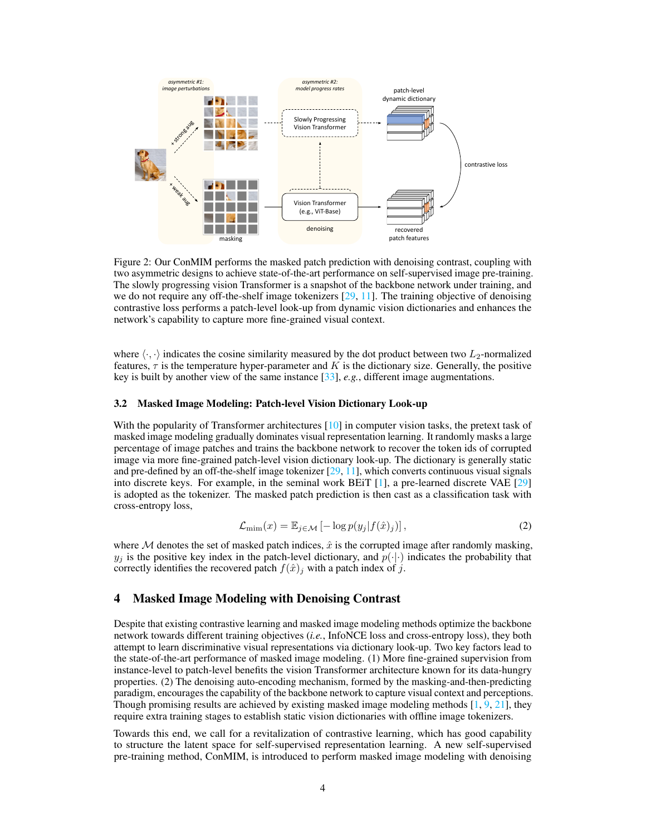

Figure 2: Our ConMIM performs the masked patch prediction with denoising contrast, coupling with two asymmetric designs to achieve state-of-the-art performance on self-supervised image pre-training. The slowly progressing vision Transformer is a snapshot of the backbone network under training, and we do not require any off-the-shelf image tokenizers [\[29,](#page-10-9) [11\]](#page-9-11). The training objective of denoising contrastive loss performs a patch-level look-up from dynamic vision dictionaries and enhances the network's capability to capture more fine-grained visual context.

where  $\langle \cdot, \cdot \rangle$  indicates the cosine similarity measured by the dot product between two L<sub>2</sub>-normalized features,  $\tau$  is the temperature hyper-parameter and K is the dictionary size. Generally, the positive key is built by another view of the same instance [\[33\]](#page-10-14), *e.g.*, different image augmentations.

#### 3.2 Masked Image Modeling: Patch-level Vision Dictionary Look-up

With the popularity of Transformer architectures [\[10\]](#page-9-3) in computer vision tasks, the pretext task of masked image modeling gradually dominates visual representation learning. It randomly masks a large percentage of image patches and trains the backbone network to recover the token ids of corrupted image via more fine-grained patch-level vision dictionary look-up. The dictionary is generally static and pre-defined by an off-the-shelf image tokenizer  $[29, 11]$  $[29, 11]$  $[29, 11]$ , which converts continuous visual signals into discrete keys. For example, in the seminal work BEiT [\[1\]](#page-9-1), a pre-learned discrete VAE [\[29\]](#page-10-9) is adopted as the tokenizer. The masked patch prediction is then cast as a classification task with cross-entropy loss,

<span id="page-3-0"></span>
$$
\mathcal{L}_{\min}(x) = \mathbb{E}_{j \in \mathcal{M}} \left[ -\log p(y_j | f(\hat{x})_j) \right],\tag{2}
$$

where  $M$  denotes the set of masked patch indices,  $\hat{x}$  is the corrupted image after randomly masking,  $y_j$  is the positive key index in the patch-level dictionary, and  $p(\cdot|\cdot)$  indicates the probability that correctly identifies the recovered patch  $f(\hat{x})_j$  with a patch index of j.

## 4 Masked Image Modeling with Denoising Contrast

Despite that existing contrastive learning and masked image modeling methods optimize the backbone network towards different training objectives (*i.e.*, InfoNCE loss and cross-entropy loss), they both attempt to learn discriminative visual representations via dictionary look-up. Two key factors lead to the state-of-the-art performance of masked image modeling. (1) More fine-grained supervision from instance-level to patch-level benefits the vision Transformer architecture known for its data-hungry properties. (2) The denoising auto-encoding mechanism, formed by the masking-and-then-predicting paradigm, encourages the capability of the backbone network to capture visual context and perceptions. Though promising results are achieved by existing masked image modeling methods [\[1,](#page-9-1) [9,](#page-9-2) [21\]](#page-10-1), they require extra training stages to establish static vision dictionaries with offline image tokenizers.

Towards this end, we call for a revitalization of contrastive learning, which has good capability to structure the latent space for self-supervised representation learning. A new self-supervised pre-training method, ConMIM, is introduced to perform masked image modeling with denoising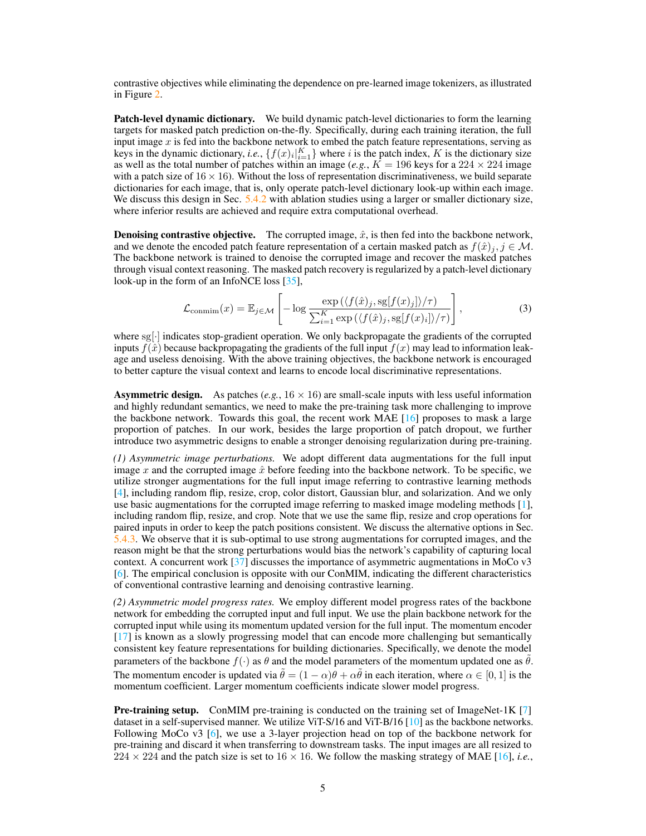contrastive objectives while eliminating the dependence on pre-learned image tokenizers, as illustrated in Figure [2.](#page-3-0)

Patch-level dynamic dictionary. We build dynamic patch-level dictionaries to form the learning targets for masked patch prediction on-the-fly. Specifically, during each training iteration, the full input image x is fed into the backbone network to embed the patch feature representations, serving as keys in the dynamic dictionary, *i.e.*,  $\{f(x)_i|_{i=1}^K\}$  where *i* is the patch index, K is the dictionary size as well as the total number of patches within an image (*e.g.*,  $\overline{K} = 196$  keys for a 224  $\times$  224 image with a patch size of  $16 \times 16$ ). Without the loss of representation discriminativeness, we build separate dictionaries for each image, that is, only operate patch-level dictionary look-up within each image. We discuss this design in Sec. [5.4.2](#page-7-0) with ablation studies using a larger or smaller dictionary size, where inferior results are achieved and require extra computational overhead.

**Denoising contrastive objective.** The corrupted image,  $\hat{x}$ , is then fed into the backbone network, and we denote the encoded patch feature representation of a certain masked patch as  $f(\hat{x})_j, j \in \mathcal{M}$ . The backbone network is trained to denoise the corrupted image and recover the masked patches through visual context reasoning. The masked patch recovery is regularized by a patch-level dictionary look-up in the form of an InfoNCE loss [\[35\]](#page-10-13),

<span id="page-4-0"></span>
$$
\mathcal{L}_{\text{conmin}}(x) = \mathbb{E}_{j \in \mathcal{M}} \left[ -\log \frac{\exp \left( \langle f(\hat{x})_j, \text{sg}[f(x)_j] \rangle / \tau \right)}{\sum_{i=1}^K \exp \left( \langle f(\hat{x})_j, \text{sg}[f(x)_i] \rangle / \tau \right)} \right],\tag{3}
$$

where sg[·] indicates stop-gradient operation. We only backpropagate the gradients of the corrupted inputs  $f(\hat{x})$  because backpropagating the gradients of the full input  $f(x)$  may lead to information leakage and useless denoising. With the above training objectives, the backbone network is encouraged to better capture the visual context and learns to encode local discriminative representations.

**Asymmetric design.** As patches (*e.g.*,  $16 \times 16$ ) are small-scale inputs with less useful information and highly redundant semantics, we need to make the pre-training task more challenging to improve the backbone network. Towards this goal, the recent work MAE [\[16\]](#page-10-11) proposes to mask a large proportion of patches. In our work, besides the large proportion of patch dropout, we further introduce two asymmetric designs to enable a stronger denoising regularization during pre-training.

*(1) Asymmetric image perturbations.* We adopt different data augmentations for the full input image x and the corrupted image  $\hat{x}$  before feeding into the backbone network. To be specific, we utilize stronger augmentations for the full input image referring to contrastive learning methods [\[4\]](#page-9-0), including random flip, resize, crop, color distort, Gaussian blur, and solarization. And we only use basic augmentations for the corrupted image referring to masked image modeling methods [\[1\]](#page-9-1), including random flip, resize, and crop. Note that we use the same flip, resize and crop operations for paired inputs in order to keep the patch positions consistent. We discuss the alternative options in Sec. [5.4.3.](#page-7-1) We observe that it is sub-optimal to use strong augmentations for corrupted images, and the reason might be that the strong perturbations would bias the network's capability of capturing local context. A concurrent work  $[37]$  discusses the importance of asymmetric augmentations in MoCo v3 [\[6\]](#page-9-6). The empirical conclusion is opposite with our ConMIM, indicating the different characteristics of conventional contrastive learning and denoising contrastive learning.

*(2) Asymmetric model progress rates.* We employ different model progress rates of the backbone network for embedding the corrupted input and full input. We use the plain backbone network for the corrupted input while using its momentum updated version for the full input. The momentum encoder [\[17\]](#page-10-0) is known as a slowly progressing model that can encode more challenging but semantically consistent key feature representations for building dictionaries. Specifically, we denote the model parameters of the backbone  $f(\cdot)$  as  $\theta$  and the model parameters of the momentum updated one as  $\theta$ . The momentum encoder is updated via  $\hat{\theta} = (1 - \alpha)\theta + \alpha\hat{\theta}$  in each iteration, where  $\alpha \in [0, 1]$  is the momentum coefficient. Larger momentum coefficients indicate slower model progress.

**Pre-training setup.** ConMIM pre-training is conducted on the training set of ImageNet-1K [\[7\]](#page-9-4) dataset in a self-supervised manner. We utilize ViT-S/16 and ViT-B/16 [\[10\]](#page-9-3) as the backbone networks. Following MoCo v3 [\[6\]](#page-9-6), we use a 3-layer projection head on top of the backbone network for pre-training and discard it when transferring to downstream tasks. The input images are all resized to  $224 \times 224$  and the patch size is set to  $16 \times 16$ . We follow the masking strategy of MAE [\[16\]](#page-10-11), *i.e.*,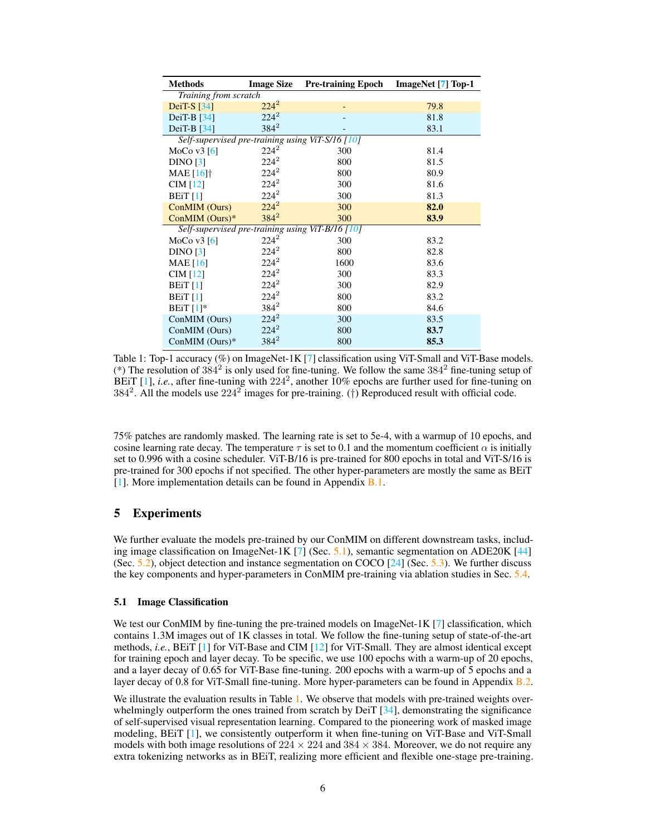<span id="page-5-1"></span>

| <b>Methods</b>                                   | <b>Image Size</b> | <b>Pre-training Epoch</b> | ImageNet [7] Top-1 |
|--------------------------------------------------|-------------------|---------------------------|--------------------|
| Training from scratch                            |                   |                           |                    |
| DeiT-S $[34]$                                    | $224^2$           |                           | 79.8               |
| DeiT-B $[34]$                                    | $224^2$           |                           | 81.8               |
| DeiT-B $[34]$                                    | $384^2$           |                           | 83.1               |
| Self-supervised pre-training using ViT-S/16 [10] |                   |                           |                    |
| MoCo v $3\left[6\right]$                         | $224^2$           | 300                       | 81.4               |
| DINO [3]                                         | $224^2$           | 800                       | 81.5               |
| MAE $[16]$ <sup>†</sup>                          | $224^2$           | 800                       | 80.9               |
| CIM $[12]$                                       | $224^2$           | 300                       | 81.6               |
| <b>BEiT</b> [1]                                  | $224^2$           | 300                       | 81.3               |
| ConMIM (Ours)                                    | $224^2$           | 300                       | 82.0               |
| Con $MIM$ (Ours)*                                | $384^2$           | 300                       | 83.9               |
| Self-supervised pre-training using ViT-B/16 [10] |                   |                           |                    |
| MoCo v $3\left[6\right]$                         | $224^2$           | 300                       | 83.2               |
| DINO [3]                                         | $224^2$           | 800                       | 82.8               |
| MAE $[16]$                                       | $224^2$           | 1600                      | 83.6               |
| CIM $[12]$                                       | $224^2$           | 300                       | 83.3               |
| <b>BEiT</b> [1]                                  | $224^2$           | 300                       | 82.9               |
| <b>BEiT</b> [1]                                  | $224^2$           | 800                       | 83.2               |
| BEiT $[1]*$                                      | $384^2$           | 800                       | 84.6               |
| ConMIM (Ours)                                    | $224^2$           | 300                       | 83.5               |
| ConMIM (Ours)                                    | $224^2$           | 800                       | 83.7               |
| ConMIM (Ours)*                                   | $384^{2}$         | 800                       | 85.3               |

Table 1: Top-1 accuracy (%) on ImageNet-1K [\[7\]](#page-9-4) classification using ViT-Small and ViT-Base models. (\*) The resolution of  $384^2$  is only used for fine-tuning. We follow the same  $384^2$  fine-tuning setup of BEiT [\[1\]](#page-9-1), *i.e.*, after fine-tuning with 224<sup>2</sup>, another 10% epochs are further used for fine-tuning on 384<sup>2</sup>. All the models use  $224^2$  images for pre-training. (†) Reproduced result with official code.

75% patches are randomly masked. The learning rate is set to 5e-4, with a warmup of 10 epochs, and cosine learning rate decay. The temperature  $\tau$  is set to 0.1 and the momentum coefficient  $\alpha$  is initially set to 0.996 with a cosine scheduler. ViT-B/16 is pre-trained for 800 epochs in total and ViT-S/16 is pre-trained for 300 epochs if not specified. The other hyper-parameters are mostly the same as BEiT [\[1\]](#page-9-1). More implementation details can be found in Appendix **[B.1.](#page-12-0)** 

# 5 Experiments

We further evaluate the models pre-trained by our ConMIM on different downstream tasks, including image classification on ImageNet-1K  $[7]$  (Sec. [5.1\)](#page-5-0), semantic segmentation on ADE20K  $[44]$ (Sec. [5.2\)](#page-6-0), object detection and instance segmentation on COCO  $[24]$  (Sec. [5.3\)](#page-6-1). We further discuss the key components and hyper-parameters in ConMIM pre-training via ablation studies in Sec. [5.4.](#page-7-2)

#### <span id="page-5-0"></span>5.1 Image Classification

We test our ConMIM by fine-tuning the pre-trained models on ImageNet-1K  $[7]$  classification, which contains 1.3M images out of 1K classes in total. We follow the fine-tuning setup of state-of-the-art methods, *i.e.*, BEiT [\[1\]](#page-9-1) for ViT-Base and CIM [\[12\]](#page-9-12) for ViT-Small. They are almost identical except for training epoch and layer decay. To be specific, we use 100 epochs with a warm-up of 20 epochs, and a layer decay of 0.65 for ViT-Base fine-tuning. 200 epochs with a warm-up of 5 epochs and a layer decay of 0.8 for ViT-Small fine-tuning. More hyper-parameters can be found in Appendix [B.2.](#page-13-0)

We illustrate the evaluation results in Table [1.](#page-5-1) We observe that models with pre-trained weights overwhelmingly outperform the ones trained from scratch by DeiT  $[34]$ , demonstrating the significance of self-supervised visual representation learning. Compared to the pioneering work of masked image modeling, BEiT [\[1\]](#page-9-1), we consistently outperform it when fine-tuning on ViT-Base and ViT-Small models with both image resolutions of  $224 \times 224$  and  $384 \times 384$ . Moreover, we do not require any extra tokenizing networks as in BEiT, realizing more efficient and flexible one-stage pre-training.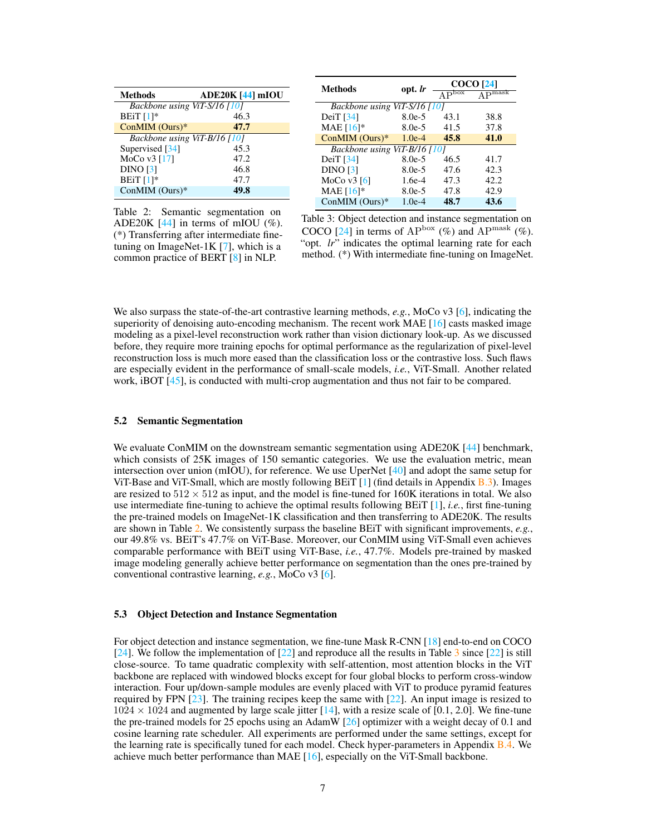|                                |                  | <b>Methods</b>               | opt. <i>lr</i> |                                         | <b>COCO</b> [24]            |
|--------------------------------|------------------|------------------------------|----------------|-----------------------------------------|-----------------------------|
| <b>Methods</b>                 | ADE20K [44] mIOU |                              |                | $\overline{\mathbf{A}^{\mathbf{D}}$ box | $\Lambda$ D <sub>mask</sub> |
| Backbone using ViT-S/16 [10]   |                  | Backbone using ViT-S/16 [10] |                |                                         |                             |
| BEiT $[1]*$                    | 46.3             | DeiT $[34]$                  | $8.0e-5$       | 43.1                                    | 38.8                        |
| $ConMIM$ (Ours)*               | 47.7             | MAE $[16]*$                  | $8.0e-5$       | 41.5                                    | 37.8                        |
| Backbone using ViT-B/16 $[10]$ |                  | $ConMIM$ (Ours)*             | $1.0e-4$       | 45.8                                    | 41.0                        |
| Supervised [34]                | 45.3             | Backbone using ViT-B/16 [10] |                |                                         |                             |
| MoCo $v3$ [17]                 | 47.2             | DeiT $[34]$                  | $8.0e-5$       | 46.5                                    | 41.7                        |
| <b>DINO</b> [3]                | 46.8             | DINO [3]                     | $8.0e-5$       | 47.6                                    | 42.3                        |
| BEiT $[1]*$                    | 47.7             | MoCo v $3\left[6\right]$     | $1.6e-4$       | 47.3                                    | 42.2                        |
| ConMIM $(Ours)*$               | 49.8             | MAE $[16]*$                  | $8.0e-5$       | 47.8                                    | 42.9                        |
|                                |                  | ConMIM $(Ours)*$             | $1.0e-4$       | 48.7                                    | 43.6                        |

<span id="page-6-2"></span>Table 2: Semantic segmentation on ADE20K  $[44]$  in terms of mIOU  $(\%).$ (\*) Transferring after intermediate finetuning on ImageNet-1K  $[7]$ , which is a common practice of BERT [\[8\]](#page-9-5) in NLP.

<span id="page-6-3"></span>Table 3: Object detection and instance segmentation on COCO [\[24\]](#page-10-16) in terms of  $AP^{box}$  (%) and  $AP^{mask}$  (%). "opt. *lr*" indicates the optimal learning rate for each method. (\*) With intermediate fine-tuning on ImageNet.

We also surpass the state-of-the-art contrastive learning methods, *e.g.*, MoCo v3 [\[6\]](#page-9-6), indicating the superiority of denoising auto-encoding mechanism. The recent work MAE [\[16\]](#page-10-11) casts masked image modeling as a pixel-level reconstruction work rather than vision dictionary look-up. As we discussed before, they require more training epochs for optimal performance as the regularization of pixel-level reconstruction loss is much more eased than the classification loss or the contrastive loss. Such flaws are especially evident in the performance of small-scale models, *i.e.*, ViT-Small. Another related work, iBOT [\[45\]](#page-11-3), is conducted with multi-crop augmentation and thus not fair to be compared.

#### <span id="page-6-0"></span>5.2 Semantic Segmentation

We evaluate ConMIM on the downstream semantic segmentation using ADE20K [\[44\]](#page-11-8) benchmark, which consists of 25K images of 150 semantic categories. We use the evaluation metric, mean intersection over union (mIOU), for reference. We use UperNet [\[40\]](#page-11-9) and adopt the same setup for ViT-Base and ViT-Small, which are mostly following BEiT [\[1\]](#page-9-1) (find details in Appendix [B.3\)](#page-13-1). Images are resized to  $512 \times 512$  as input, and the model is fine-tuned for 160K iterations in total. We also use intermediate fine-tuning to achieve the optimal results following BEiT [\[1\]](#page-9-1), *i.e.*, first fine-tuning the pre-trained models on ImageNet-1K classification and then transferring to ADE20K. The results are shown in Table [2.](#page-6-2) We consistently surpass the baseline BEiT with significant improvements, *e.g.*, our 49.8% vs. BEiT's 47.7% on ViT-Base. Moreover, our ConMIM using ViT-Small even achieves comparable performance with BEiT using ViT-Base, *i.e.*, 47.7%. Models pre-trained by masked image modeling generally achieve better performance on segmentation than the ones pre-trained by conventional contrastive learning, *e.g.*, MoCo v3 [\[6\]](#page-9-6).

#### <span id="page-6-1"></span>5.3 Object Detection and Instance Segmentation

For object detection and instance segmentation, we fine-tune Mask R-CNN [\[18\]](#page-10-17) end-to-end on COCO [\[24\]](#page-10-16). We follow the implementation of [\[22\]](#page-10-18) and reproduce all the results in Table [3](#page-6-3) since [\[22\]](#page-10-18) is still close-source. To tame quadratic complexity with self-attention, most attention blocks in the ViT backbone are replaced with windowed blocks except for four global blocks to perform cross-window interaction. Four up/down-sample modules are evenly placed with ViT to produce pyramid features required by FPN [\[23\]](#page-10-19). The training recipes keep the same with [\[22\]](#page-10-18). An input image is resized to  $1024 \times 1024$  and augmented by large scale jitter [\[14\]](#page-9-13), with a resize scale of [0.1, 2.0]. We fine-tune the pre-trained models for 25 epochs using an AdamW [\[26\]](#page-10-20) optimizer with a weight decay of 0.1 and cosine learning rate scheduler. All experiments are performed under the same settings, except for the learning rate is specifically tuned for each model. Check hyper-parameters in Appendix [B.4.](#page-14-0) We achieve much better performance than MAE [\[16\]](#page-10-11), especially on the ViT-Small backbone.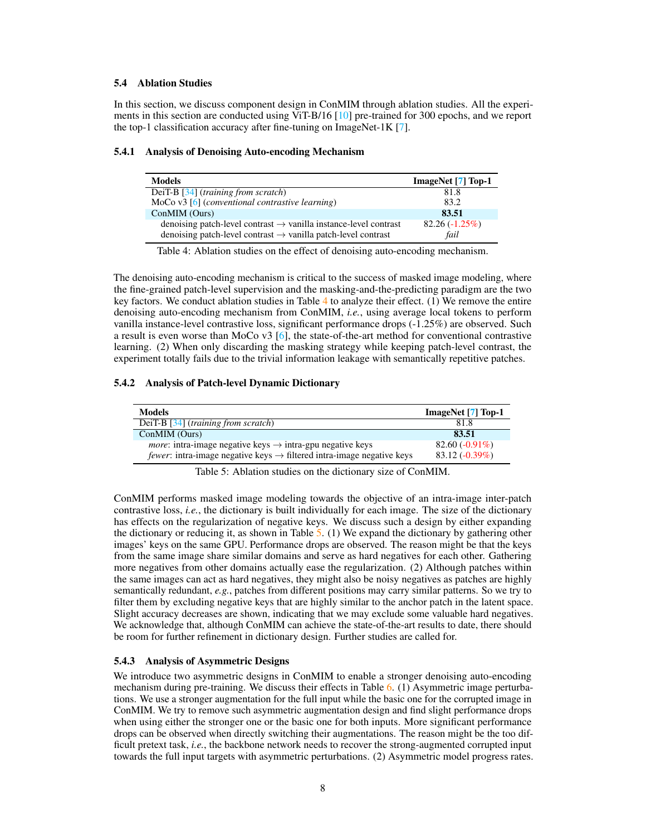## <span id="page-7-2"></span>5.4 Ablation Studies

In this section, we discuss component design in ConMIM through ablation studies. All the experiments in this section are conducted using ViT-B/16 [\[10\]](#page-9-3) pre-trained for 300 epochs, and we report the top-1 classification accuracy after fine-tuning on ImageNet-1K [\[7\]](#page-9-4).

## 5.4.1 Analysis of Denoising Auto-encoding Mechanism

| <b>Models</b>                                                                                                                                             | ImageNet [7] Top-1       |
|-----------------------------------------------------------------------------------------------------------------------------------------------------------|--------------------------|
| DeiT-B [34] (training from scratch)                                                                                                                       | 81.8                     |
| MoCo $v3$ [6] (conventional contrastive learning)                                                                                                         | 83.2                     |
| ConMIM (Ours)                                                                                                                                             | 83.51                    |
| denoising patch-level contrast $\rightarrow$ vanilla instance-level contrast<br>denoising patch-level contrast $\rightarrow$ vanilla patch-level contrast | $82.26(-1.25\%)$<br>fail |

<span id="page-7-3"></span>Table 4: Ablation studies on the effect of denoising auto-encoding mechanism.

The denoising auto-encoding mechanism is critical to the success of masked image modeling, where the fine-grained patch-level supervision and the masking-and-the-predicting paradigm are the two key factors. We conduct ablation studies in Table [4](#page-7-3) to analyze their effect. (1) We remove the entire denoising auto-encoding mechanism from ConMIM, *i.e.*, using average local tokens to perform vanilla instance-level contrastive loss, significant performance drops (-1.25%) are observed. Such a result is even worse than MoCo v3 [\[6\]](#page-9-6), the state-of-the-art method for conventional contrastive learning. (2) When only discarding the masking strategy while keeping patch-level contrast, the experiment totally fails due to the trivial information leakage with semantically repetitive patches.

## <span id="page-7-0"></span>5.4.2 Analysis of Patch-level Dynamic Dictionary

| Models                                                                                    | ImageNet [7] Top-1 |
|-------------------------------------------------------------------------------------------|--------------------|
| DeiT-B $[34]$ (training from scratch)                                                     | 81.8               |
| ConMIM (Ours)                                                                             | 83.51              |
| <i>more</i> : intra-image negative keys $\rightarrow$ intra-gpu negative keys             | $82.60(-0.91\%)$   |
| <i>fewer</i> : intra-image negative keys $\rightarrow$ filtered intra-image negative keys | $83.12(-0.39\%)$   |

<span id="page-7-4"></span>Table 5: Ablation studies on the dictionary size of ConMIM.

ConMIM performs masked image modeling towards the objective of an intra-image inter-patch contrastive loss, *i.e.*, the dictionary is built individually for each image. The size of the dictionary has effects on the regularization of negative keys. We discuss such a design by either expanding the dictionary or reducing it, as shown in Table  $5.$  (1) We expand the dictionary by gathering other images' keys on the same GPU. Performance drops are observed. The reason might be that the keys from the same image share similar domains and serve as hard negatives for each other. Gathering more negatives from other domains actually ease the regularization. (2) Although patches within the same images can act as hard negatives, they might also be noisy negatives as patches are highly semantically redundant, *e.g.*, patches from different positions may carry similar patterns. So we try to filter them by excluding negative keys that are highly similar to the anchor patch in the latent space. Slight accuracy decreases are shown, indicating that we may exclude some valuable hard negatives. We acknowledge that, although ConMIM can achieve the state-of-the-art results to date, there should be room for further refinement in dictionary design. Further studies are called for.

## <span id="page-7-1"></span>5.4.3 Analysis of Asymmetric Designs

We introduce two asymmetric designs in ConMIM to enable a stronger denoising auto-encoding mechanism during pre-training. We discuss their effects in Table [6.](#page-8-0) (1) Asymmetric image perturbations. We use a stronger augmentation for the full input while the basic one for the corrupted image in ConMIM. We try to remove such asymmetric augmentation design and find slight performance drops when using either the stronger one or the basic one for both inputs. More significant performance drops can be observed when directly switching their augmentations. The reason might be the too difficult pretext task, *i.e.*, the backbone network needs to recover the strong-augmented corrupted input towards the full input targets with asymmetric perturbations. (2) Asymmetric model progress rates.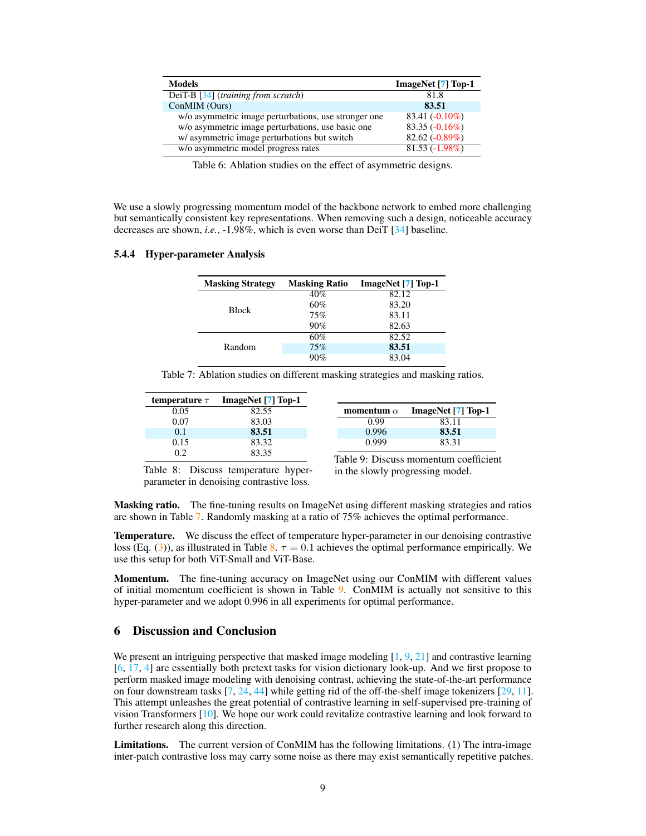| <b>Models</b>                                        | ImageNet [7] Top-1 |
|------------------------------------------------------|--------------------|
| DeiT-B [34] (training from scratch)                  | 81.8               |
| ConMIM (Ours)                                        | 83.51              |
| w/o asymmetric image perturbations, use stronger one | $83.41(-0.10\%)$   |
| w/o asymmetric image perturbations, use basic one    | $83.35(-0.16\%)$   |
| w/ asymmetric image perturbations but switch         | $82.62(-0.89\%)$   |
| w/o asymmetric model progress rates                  | $81.53(-1.98\%)$   |

<span id="page-8-0"></span>Table 6: Ablation studies on the effect of asymmetric designs.

We use a slowly progressing momentum model of the backbone network to embed more challenging but semantically consistent key representations. When removing such a design, noticeable accuracy decreases are shown, *i.e.*, -1.98%, which is even worse than DeiT [\[34\]](#page-10-15) baseline.

### 5.4.4 Hyper-parameter Analysis

| <b>Masking Strategy</b> | <b>Masking Ratio</b> | ImageNet [7] Top-1 |
|-------------------------|----------------------|--------------------|
|                         | 40%                  | 82.12              |
| <b>Block</b>            | 60%                  | 83.20              |
|                         | 75%                  | 83.11              |
|                         | 90%                  | 82.63              |
|                         | 60%                  | 82.52              |
| Random                  | 75%                  | 83.51              |
|                         | 90%                  | 83.04              |

Table 7: Ablation studies on different masking strategies and masking ratios.

| temperature $\tau$ | ImageNet [7] Top-1 |
|--------------------|--------------------|
| 0.05               | 82.55              |
| 0.07               | 83.03              |
| 0.1                | 83.51              |
| 0.15               | 83.32              |
| 02                 | 83.35              |

Table 9: Discuss momentum coefficient in the slowly progressing model.

0.999 83.31

<span id="page-8-2"></span>momentum  $\alpha$  ImageNet [\[7\]](#page-9-4) Top-1 0.99 83.11<br>0.996 83.51

<span id="page-8-3"></span><span id="page-8-1"></span>83.51

Table 8: Discuss temperature hyperparameter in denoising contrastive loss.

Masking ratio. The fine-tuning results on ImageNet using different masking strategies and ratios are shown in Table [7.](#page-8-1) Randomly masking at a ratio of 75% achieves the optimal performance.

**Temperature.** We discuss the effect of temperature hyper-parameter in our denoising contrastive loss (Eq. [\(3\)](#page-4-0)), as illustrated in Table [8.](#page-8-2)  $\tau = 0.1$  achieves the optimal performance empirically. We use this setup for both ViT-Small and ViT-Base.

Momentum. The fine-tuning accuracy on ImageNet using our ConMIM with different values of initial momentum coefficient is shown in Table [9.](#page-8-3) ConMIM is actually not sensitive to this hyper-parameter and we adopt 0.996 in all experiments for optimal performance.

# 6 Discussion and Conclusion

We present an intriguing perspective that masked image modeling [\[1,](#page-9-1) [9,](#page-9-2) [21\]](#page-10-1) and contrastive learning [\[6,](#page-9-6) [17,](#page-10-0) [4\]](#page-9-0) are essentially both pretext tasks for vision dictionary look-up. And we first propose to perform masked image modeling with denoising contrast, achieving the state-of-the-art performance on four downstream tasks  $[7, 24, 44]$  $[7, 24, 44]$  $[7, 24, 44]$  $[7, 24, 44]$  $[7, 24, 44]$  while getting rid of the off-the-shelf image tokenizers  $[29, 11]$  $[29, 11]$  $[29, 11]$ . This attempt unleashes the great potential of contrastive learning in self-supervised pre-training of vision Transformers [\[10\]](#page-9-3). We hope our work could revitalize contrastive learning and look forward to further research along this direction.

Limitations. The current version of ConMIM has the following limitations. (1) The intra-image inter-patch contrastive loss may carry some noise as there may exist semantically repetitive patches.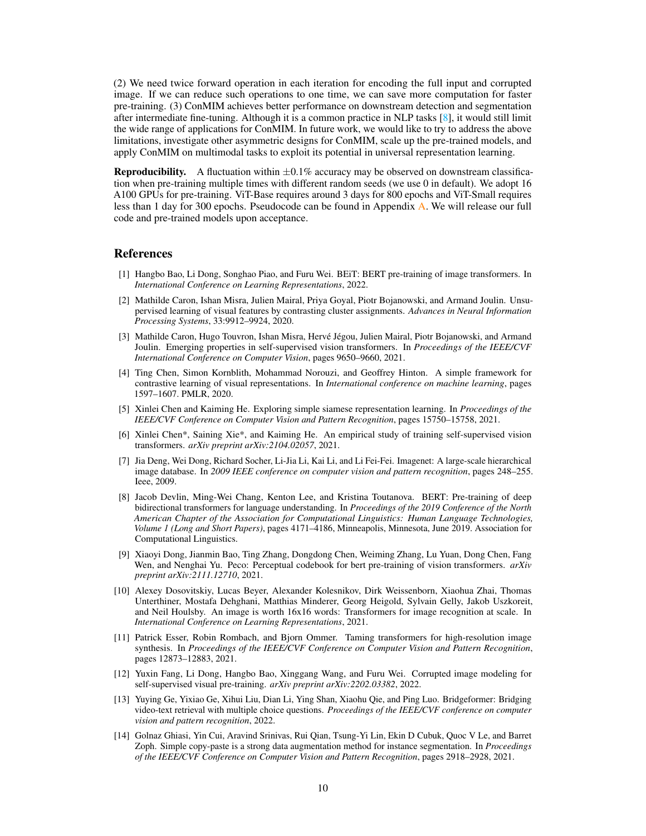(2) We need twice forward operation in each iteration for encoding the full input and corrupted image. If we can reduce such operations to one time, we can save more computation for faster pre-training. (3) ConMIM achieves better performance on downstream detection and segmentation after intermediate fine-tuning. Although it is a common practice in NLP tasks  $[8]$ , it would still limit the wide range of applications for ConMIM. In future work, we would like to try to address the above limitations, investigate other asymmetric designs for ConMIM, scale up the pre-trained models, and apply ConMIM on multimodal tasks to exploit its potential in universal representation learning.

**Reproducibility.** A fluctuation within  $\pm 0.1\%$  accuracy may be observed on downstream classification when pre-training multiple times with different random seeds (we use 0 in default). We adopt 16 A100 GPUs for pre-training. ViT-Base requires around 3 days for 800 epochs and ViT-Small requires less than 1 day for 300 epochs. Pseudocode can be found in Appendix [A.](#page-12-1) We will release our full code and pre-trained models upon acceptance.

## References

- <span id="page-9-1"></span>[1] Hangbo Bao, Li Dong, Songhao Piao, and Furu Wei. BEiT: BERT pre-training of image transformers. In *International Conference on Learning Representations*, 2022.
- <span id="page-9-7"></span>[2] Mathilde Caron, Ishan Misra, Julien Mairal, Priya Goyal, Piotr Bojanowski, and Armand Joulin. Unsupervised learning of visual features by contrasting cluster assignments. *Advances in Neural Information Processing Systems*, 33:9912–9924, 2020.
- <span id="page-9-8"></span>[3] Mathilde Caron, Hugo Touvron, Ishan Misra, Hervé Jégou, Julien Mairal, Piotr Bojanowski, and Armand Joulin. Emerging properties in self-supervised vision transformers. In *Proceedings of the IEEE/CVF International Conference on Computer Vision*, pages 9650–9660, 2021.
- <span id="page-9-0"></span>[4] Ting Chen, Simon Kornblith, Mohammad Norouzi, and Geoffrey Hinton. A simple framework for contrastive learning of visual representations. In *International conference on machine learning*, pages 1597–1607. PMLR, 2020.
- <span id="page-9-9"></span>[5] Xinlei Chen and Kaiming He. Exploring simple siamese representation learning. In *Proceedings of the IEEE/CVF Conference on Computer Vision and Pattern Recognition*, pages 15750–15758, 2021.
- <span id="page-9-6"></span>[6] Xinlei Chen\*, Saining Xie\*, and Kaiming He. An empirical study of training self-supervised vision transformers. *arXiv preprint arXiv:2104.02057*, 2021.
- <span id="page-9-4"></span>[7] Jia Deng, Wei Dong, Richard Socher, Li-Jia Li, Kai Li, and Li Fei-Fei. Imagenet: A large-scale hierarchical image database. In *2009 IEEE conference on computer vision and pattern recognition*, pages 248–255. Ieee, 2009.
- <span id="page-9-5"></span>[8] Jacob Devlin, Ming-Wei Chang, Kenton Lee, and Kristina Toutanova. BERT: Pre-training of deep bidirectional transformers for language understanding. In *Proceedings of the 2019 Conference of the North American Chapter of the Association for Computational Linguistics: Human Language Technologies, Volume 1 (Long and Short Papers)*, pages 4171–4186, Minneapolis, Minnesota, June 2019. Association for Computational Linguistics.
- <span id="page-9-2"></span>[9] Xiaoyi Dong, Jianmin Bao, Ting Zhang, Dongdong Chen, Weiming Zhang, Lu Yuan, Dong Chen, Fang Wen, and Nenghai Yu. Peco: Perceptual codebook for bert pre-training of vision transformers. *arXiv preprint arXiv:2111.12710*, 2021.
- <span id="page-9-3"></span>[10] Alexey Dosovitskiy, Lucas Beyer, Alexander Kolesnikov, Dirk Weissenborn, Xiaohua Zhai, Thomas Unterthiner, Mostafa Dehghani, Matthias Minderer, Georg Heigold, Sylvain Gelly, Jakob Uszkoreit, and Neil Houlsby. An image is worth 16x16 words: Transformers for image recognition at scale. In *International Conference on Learning Representations*, 2021.
- <span id="page-9-11"></span>[11] Patrick Esser, Robin Rombach, and Bjorn Ommer. Taming transformers for high-resolution image synthesis. In *Proceedings of the IEEE/CVF Conference on Computer Vision and Pattern Recognition*, pages 12873–12883, 2021.
- <span id="page-9-12"></span>[12] Yuxin Fang, Li Dong, Hangbo Bao, Xinggang Wang, and Furu Wei. Corrupted image modeling for self-supervised visual pre-training. *arXiv preprint arXiv:2202.03382*, 2022.
- <span id="page-9-10"></span>[13] Yuying Ge, Yixiao Ge, Xihui Liu, Dian Li, Ying Shan, Xiaohu Qie, and Ping Luo. Bridgeformer: Bridging video-text retrieval with multiple choice questions. *Proceedings of the IEEE/CVF conference on computer vision and pattern recognition*, 2022.
- <span id="page-9-13"></span>[14] Golnaz Ghiasi, Yin Cui, Aravind Srinivas, Rui Qian, Tsung-Yi Lin, Ekin D Cubuk, Quoc V Le, and Barret Zoph. Simple copy-paste is a strong data augmentation method for instance segmentation. In *Proceedings of the IEEE/CVF Conference on Computer Vision and Pattern Recognition*, pages 2918–2928, 2021.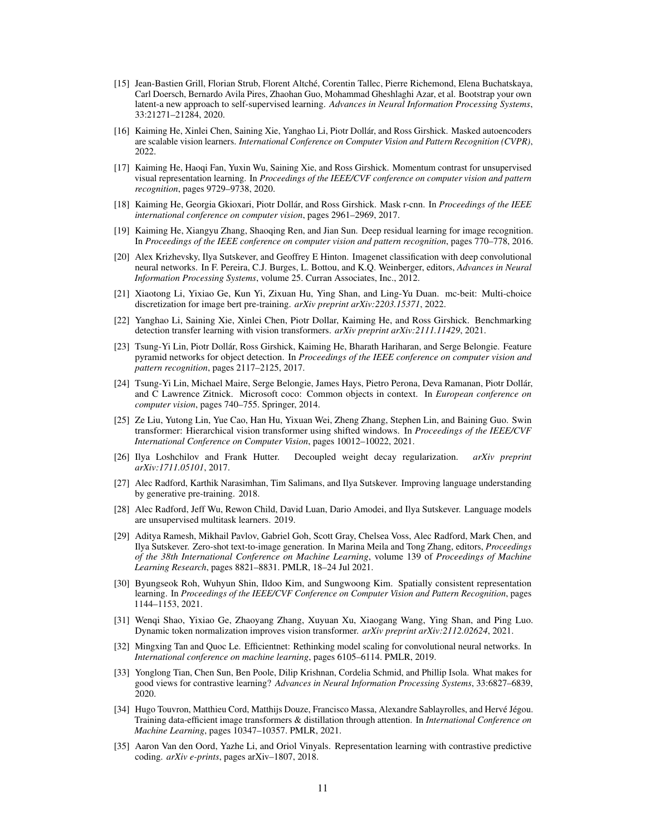- <span id="page-10-12"></span>[15] Jean-Bastien Grill, Florian Strub, Florent Altché, Corentin Tallec, Pierre Richemond, Elena Buchatskaya, Carl Doersch, Bernardo Avila Pires, Zhaohan Guo, Mohammad Gheshlaghi Azar, et al. Bootstrap your own latent-a new approach to self-supervised learning. *Advances in Neural Information Processing Systems*, 33:21271–21284, 2020.
- <span id="page-10-11"></span>[16] Kaiming He, Xinlei Chen, Saining Xie, Yanghao Li, Piotr Dollár, and Ross Girshick. Masked autoencoders are scalable vision learners. *International Conference on Computer Vision and Pattern Recognition (CVPR)*, 2022.
- <span id="page-10-0"></span>[17] Kaiming He, Haoqi Fan, Yuxin Wu, Saining Xie, and Ross Girshick. Momentum contrast for unsupervised visual representation learning. In *Proceedings of the IEEE/CVF conference on computer vision and pattern recognition*, pages 9729–9738, 2020.
- <span id="page-10-17"></span>[18] Kaiming He, Georgia Gkioxari, Piotr Dollár, and Ross Girshick. Mask r-cnn. In *Proceedings of the IEEE international conference on computer vision*, pages 2961–2969, 2017.
- <span id="page-10-4"></span>[19] Kaiming He, Xiangyu Zhang, Shaoqing Ren, and Jian Sun. Deep residual learning for image recognition. In *Proceedings of the IEEE conference on computer vision and pattern recognition*, pages 770–778, 2016.
- <span id="page-10-5"></span>[20] Alex Krizhevsky, Ilya Sutskever, and Geoffrey E Hinton. Imagenet classification with deep convolutional neural networks. In F. Pereira, C.J. Burges, L. Bottou, and K.Q. Weinberger, editors, *Advances in Neural Information Processing Systems*, volume 25. Curran Associates, Inc., 2012.
- <span id="page-10-1"></span>[21] Xiaotong Li, Yixiao Ge, Kun Yi, Zixuan Hu, Ying Shan, and Ling-Yu Duan. mc-beit: Multi-choice discretization for image bert pre-training. *arXiv preprint arXiv:2203.15371*, 2022.
- <span id="page-10-18"></span>[22] Yanghao Li, Saining Xie, Xinlei Chen, Piotr Dollar, Kaiming He, and Ross Girshick. Benchmarking detection transfer learning with vision transformers. *arXiv preprint arXiv:2111.11429*, 2021.
- <span id="page-10-19"></span>[23] Tsung-Yi Lin, Piotr Dollár, Ross Girshick, Kaiming He, Bharath Hariharan, and Serge Belongie. Feature pyramid networks for object detection. In *Proceedings of the IEEE conference on computer vision and pattern recognition*, pages 2117–2125, 2017.
- <span id="page-10-16"></span>[24] Tsung-Yi Lin, Michael Maire, Serge Belongie, James Hays, Pietro Perona, Deva Ramanan, Piotr Dollár, and C Lawrence Zitnick. Microsoft coco: Common objects in context. In *European conference on computer vision*, pages 740–755. Springer, 2014.
- <span id="page-10-8"></span>[25] Ze Liu, Yutong Lin, Yue Cao, Han Hu, Yixuan Wei, Zheng Zhang, Stephen Lin, and Baining Guo. Swin transformer: Hierarchical vision transformer using shifted windows. In *Proceedings of the IEEE/CVF International Conference on Computer Vision*, pages 10012–10022, 2021.
- <span id="page-10-20"></span>[26] Ilya Loshchilov and Frank Hutter. Decoupled weight decay regularization. *arXiv preprint arXiv:1711.05101*, 2017.
- <span id="page-10-2"></span>[27] Alec Radford, Karthik Narasimhan, Tim Salimans, and Ilya Sutskever. Improving language understanding by generative pre-training. 2018.
- <span id="page-10-3"></span>[28] Alec Radford, Jeff Wu, Rewon Child, David Luan, Dario Amodei, and Ilya Sutskever. Language models are unsupervised multitask learners. 2019.
- <span id="page-10-9"></span>[29] Aditya Ramesh, Mikhail Pavlov, Gabriel Goh, Scott Gray, Chelsea Voss, Alec Radford, Mark Chen, and Ilya Sutskever. Zero-shot text-to-image generation. In Marina Meila and Tong Zhang, editors, *Proceedings of the 38th International Conference on Machine Learning*, volume 139 of *Proceedings of Machine Learning Research*, pages 8821–8831. PMLR, 18–24 Jul 2021.
- <span id="page-10-10"></span>[30] Byungseok Roh, Wuhyun Shin, Ildoo Kim, and Sungwoong Kim. Spatially consistent representation learning. In *Proceedings of the IEEE/CVF Conference on Computer Vision and Pattern Recognition*, pages 1144–1153, 2021.
- <span id="page-10-7"></span>[31] Wenqi Shao, Yixiao Ge, Zhaoyang Zhang, Xuyuan Xu, Xiaogang Wang, Ying Shan, and Ping Luo. Dynamic token normalization improves vision transformer. *arXiv preprint arXiv:2112.02624*, 2021.
- <span id="page-10-6"></span>[32] Mingxing Tan and Quoc Le. Efficientnet: Rethinking model scaling for convolutional neural networks. In *International conference on machine learning*, pages 6105–6114. PMLR, 2019.
- <span id="page-10-14"></span>[33] Yonglong Tian, Chen Sun, Ben Poole, Dilip Krishnan, Cordelia Schmid, and Phillip Isola. What makes for good views for contrastive learning? *Advances in Neural Information Processing Systems*, 33:6827–6839, 2020.
- <span id="page-10-15"></span>[34] Hugo Touvron, Matthieu Cord, Matthijs Douze, Francisco Massa, Alexandre Sablayrolles, and Hervé Jégou. Training data-efficient image transformers & distillation through attention. In *International Conference on Machine Learning*, pages 10347–10357. PMLR, 2021.
- <span id="page-10-13"></span>[35] Aaron Van den Oord, Yazhe Li, and Oriol Vinyals. Representation learning with contrastive predictive coding. *arXiv e-prints*, pages arXiv–1807, 2018.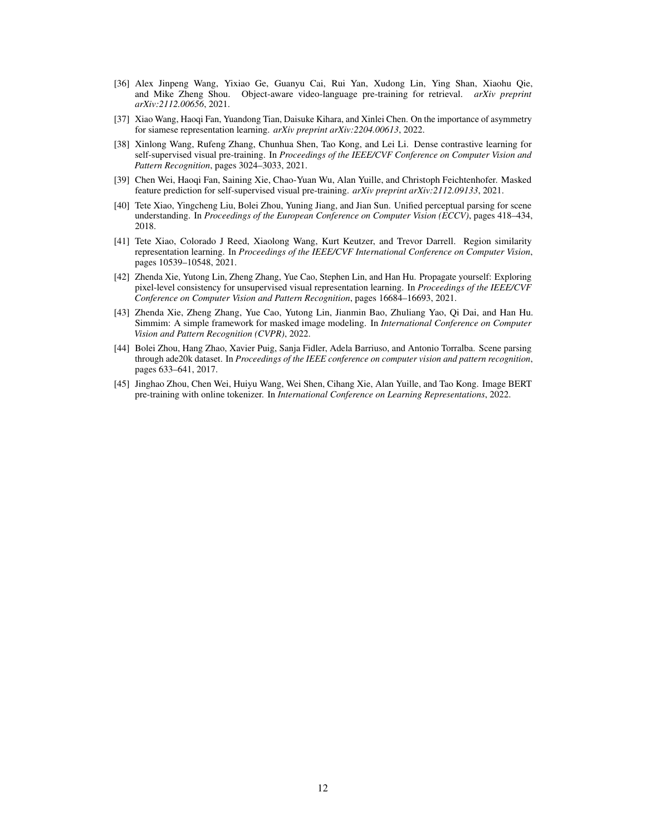- <span id="page-11-6"></span>[36] Alex Jinpeng Wang, Yixiao Ge, Guanyu Cai, Rui Yan, Xudong Lin, Ying Shan, Xiaohu Qie, and Mike Zheng Shou. Object-aware video-language pre-training for retrieval. *arXiv preprint arXiv:2112.00656*, 2021.
- <span id="page-11-7"></span>[37] Xiao Wang, Haoqi Fan, Yuandong Tian, Daisuke Kihara, and Xinlei Chen. On the importance of asymmetry for siamese representation learning. *arXiv preprint arXiv:2204.00613*, 2022.
- <span id="page-11-0"></span>[38] Xinlong Wang, Rufeng Zhang, Chunhua Shen, Tao Kong, and Lei Li. Dense contrastive learning for self-supervised visual pre-training. In *Proceedings of the IEEE/CVF Conference on Computer Vision and Pattern Recognition*, pages 3024–3033, 2021.
- <span id="page-11-4"></span>[39] Chen Wei, Haoqi Fan, Saining Xie, Chao-Yuan Wu, Alan Yuille, and Christoph Feichtenhofer. Masked feature prediction for self-supervised visual pre-training. *arXiv preprint arXiv:2112.09133*, 2021.
- <span id="page-11-9"></span>[40] Tete Xiao, Yingcheng Liu, Bolei Zhou, Yuning Jiang, and Jian Sun. Unified perceptual parsing for scene understanding. In *Proceedings of the European Conference on Computer Vision (ECCV)*, pages 418–434, 2018.
- <span id="page-11-2"></span>[41] Tete Xiao, Colorado J Reed, Xiaolong Wang, Kurt Keutzer, and Trevor Darrell. Region similarity representation learning. In *Proceedings of the IEEE/CVF International Conference on Computer Vision*, pages 10539–10548, 2021.
- <span id="page-11-1"></span>[42] Zhenda Xie, Yutong Lin, Zheng Zhang, Yue Cao, Stephen Lin, and Han Hu. Propagate yourself: Exploring pixel-level consistency for unsupervised visual representation learning. In *Proceedings of the IEEE/CVF Conference on Computer Vision and Pattern Recognition*, pages 16684–16693, 2021.
- <span id="page-11-5"></span>[43] Zhenda Xie, Zheng Zhang, Yue Cao, Yutong Lin, Jianmin Bao, Zhuliang Yao, Qi Dai, and Han Hu. Simmim: A simple framework for masked image modeling. In *International Conference on Computer Vision and Pattern Recognition (CVPR)*, 2022.
- <span id="page-11-8"></span>[44] Bolei Zhou, Hang Zhao, Xavier Puig, Sanja Fidler, Adela Barriuso, and Antonio Torralba. Scene parsing through ade20k dataset. In *Proceedings of the IEEE conference on computer vision and pattern recognition*, pages 633–641, 2017.
- <span id="page-11-3"></span>[45] Jinghao Zhou, Chen Wei, Huiyu Wang, Wei Shen, Cihang Xie, Alan Yuille, and Tao Kong. Image BERT pre-training with online tokenizer. In *International Conference on Learning Representations*, 2022.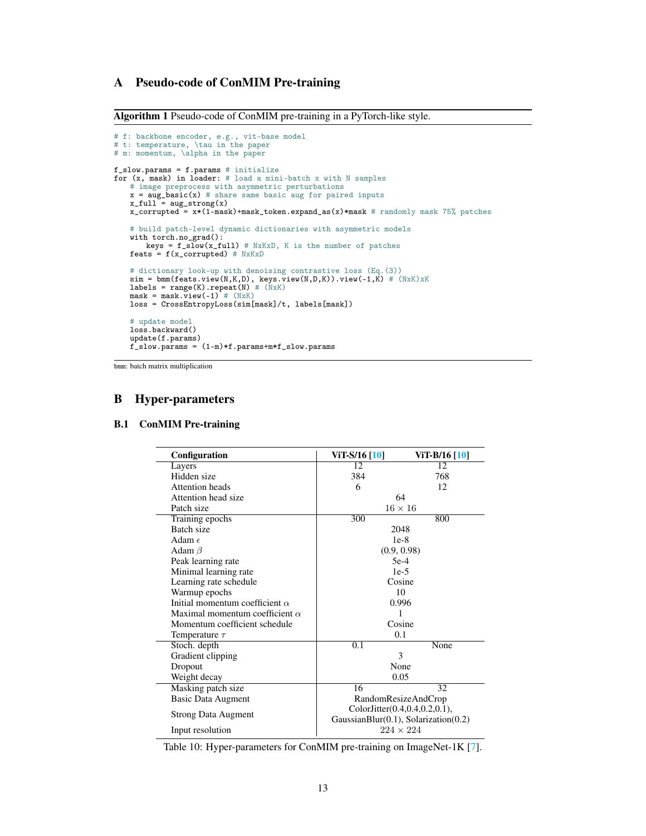# <span id="page-12-1"></span>A Pseudo-code of ConMIM Pre-training

Algorithm 1 Pseudo-code of ConMIM pre-training in a PyTorch-like style.

```
# f: backbone encoder, e.g., vit-base model
# t: temperature, \tau in the paper
# m: momentum, \alpha in the paper
f_slow.params = f.params # initialize
for (x, mask) in loader: # load a mini-batch x with N samples
    # image preprocess with asymmetric perturbations
    x = aug\_basic(x) # share same basic aug for paired inputs
    x_full = aug\_strong(x)x<sup>-</sup>corrupted = x*(1-mask) +mask_token.expand_as(x) *mask # randomly mask 75% patches
    # build patch-level dynamic dictionaries with asymmetric models
    with torch.no_grad():
         keys = f_slow(x_full) # NxKxD, K is the number of patches
    feats = f(x_c^{\text{corrupted}}) # NxKxD
     # dictionary look-up with denoising contrastive loss (Eq.(3))
sim = bmm(feats.view(N,K,D), keys.view(N,D,K)).view(-1,K) # (NxK)xK
labels = range(K).repeat(N) # (NxK)
mask = mask.view(-1) # (NxK)
    loss = CrossEntropyLoss(sim[mask]/t, labels[mask])
    # update model
    loss.backward()
    update(f.params)
    f<sub>slow.params</sub> = (1-m)*f.params+m*f<sub>slow.params</sub>
```
bmm: batch matrix multiplication

## B Hyper-parameters

# <span id="page-12-0"></span>B.1 ConMIM Pre-training

| Configuration                         | ViT-S/16 [10]                                                                        | ViT-B/16 [10]    |  |
|---------------------------------------|--------------------------------------------------------------------------------------|------------------|--|
| Layers                                | 12                                                                                   | 12               |  |
| Hidden size                           | 384                                                                                  | 768              |  |
| Attention heads                       | 6                                                                                    | 12               |  |
| Attention head size                   | 64                                                                                   |                  |  |
| Patch size                            | $16 \times 16$                                                                       |                  |  |
| Training epochs                       | 300                                                                                  | 800              |  |
| Batch size                            | 2048                                                                                 |                  |  |
| Adam $\epsilon$                       | $1e-8$                                                                               |                  |  |
| Adam $\beta$                          | (0.9, 0.98)                                                                          |                  |  |
| Peak learning rate                    | $5e-4$                                                                               |                  |  |
| Minimal learning rate                 | $1e-5$                                                                               |                  |  |
| Learning rate schedule                | Cosine                                                                               |                  |  |
| Warmup epochs                         | 10                                                                                   |                  |  |
| Initial momentum coefficient $\alpha$ | 0.996                                                                                |                  |  |
| Maximal momentum coefficient $\alpha$ |                                                                                      |                  |  |
| Momentum coefficient schedule         | Cosine                                                                               |                  |  |
| Temperature $\tau$                    | 0.1                                                                                  |                  |  |
| Stoch. depth                          | 0.1                                                                                  | None             |  |
| Gradient clipping                     | 3                                                                                    |                  |  |
| Dropout                               | None                                                                                 |                  |  |
| Weight decay                          | 0.05                                                                                 |                  |  |
| Masking patch size                    | 16<br>32                                                                             |                  |  |
| Basic Data Augment                    | RandomResizeAndCrop                                                                  |                  |  |
| Strong Data Augment                   | ColorJitter $(0.4, 0.4, 0.2, 0.1)$ ,<br>GaussianBlur( $0.1$ ), Solarization( $0.2$ ) |                  |  |
| Input resolution                      |                                                                                      | $224 \times 224$ |  |

Table 10: Hyper-parameters for ConMIM pre-training on ImageNet-1K [\[7\]](#page-9-4).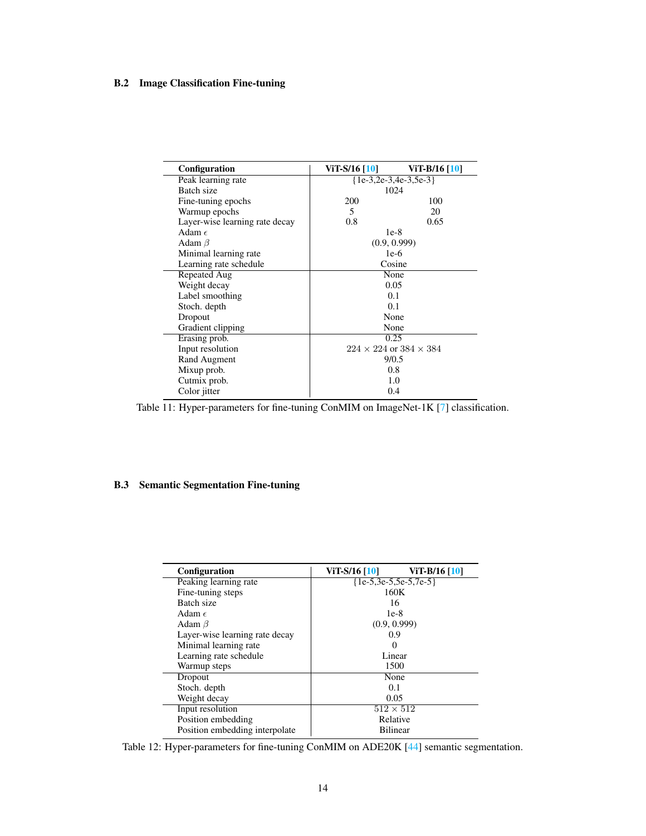# <span id="page-13-0"></span>B.2 Image Classification Fine-tuning

| Configuration                  | ViT-S/16 [10]                        | ViT-B/16 [10] |
|--------------------------------|--------------------------------------|---------------|
| Peak learning rate             | ${1e-3, 2e-3, 4e-3, 5e-3}$           |               |
| Batch size                     | 1024                                 |               |
| Fine-tuning epochs             | 200                                  | 100           |
| Warmup epochs                  | 5                                    | 20            |
| Layer-wise learning rate decay | 0.8                                  | 0.65          |
| Adam $\epsilon$                |                                      | $1e-8$        |
| Adam $\beta$                   |                                      | (0.9, 0.999)  |
| Minimal learning rate          |                                      | $1e-6$        |
| Learning rate schedule         | Cosine                               |               |
| Repeated Aug                   | None                                 |               |
| Weight decay                   | 0.05                                 |               |
| Label smoothing                | 0.1                                  |               |
| Stoch. depth                   | 0.1                                  |               |
| Dropout                        | None                                 |               |
| Gradient clipping              | None                                 |               |
| Erasing prob.                  | 0.25                                 |               |
| Input resolution               | $224 \times 224$ or $384 \times 384$ |               |
| Rand Augment                   | 9/0.5                                |               |
| Mixup prob.                    | 0.8                                  |               |
| Cutmix prob.                   | 1.0                                  |               |
| Color jitter                   | 0.4                                  |               |

Table 11: Hyper-parameters for fine-tuning ConMIM on ImageNet-1K [\[7\]](#page-9-4) classification.

# <span id="page-13-1"></span>B.3 Semantic Segmentation Fine-tuning

| <b>Configuration</b>           | ViT-S/16 [10]<br>ViT-B/16 [10] |  |
|--------------------------------|--------------------------------|--|
| Peaking learning rate          | ${1e-5,3e-5,5e-5,7e-5}$        |  |
| Fine-tuning steps              | 160K                           |  |
| Batch size                     | 16                             |  |
| Adam $\epsilon$                | $1e-8$                         |  |
| Adam $\beta$                   | (0.9, 0.999)                   |  |
| Layer-wise learning rate decay | 0.9                            |  |
| Minimal learning rate          | $\mathbf{0}$                   |  |
| Learning rate schedule         | Linear                         |  |
| Warmup steps                   | 1500                           |  |
| Dropout                        | None                           |  |
| Stoch. depth                   | 0.1                            |  |
| Weight decay                   | 0.05                           |  |
| Input resolution               | $512 \times 512$               |  |
| Position embedding             | Relative                       |  |
| Position embedding interpolate | <b>Bilinear</b>                |  |

Table 12: Hyper-parameters for fine-tuning ConMIM on ADE20K [\[44\]](#page-11-8) semantic segmentation.